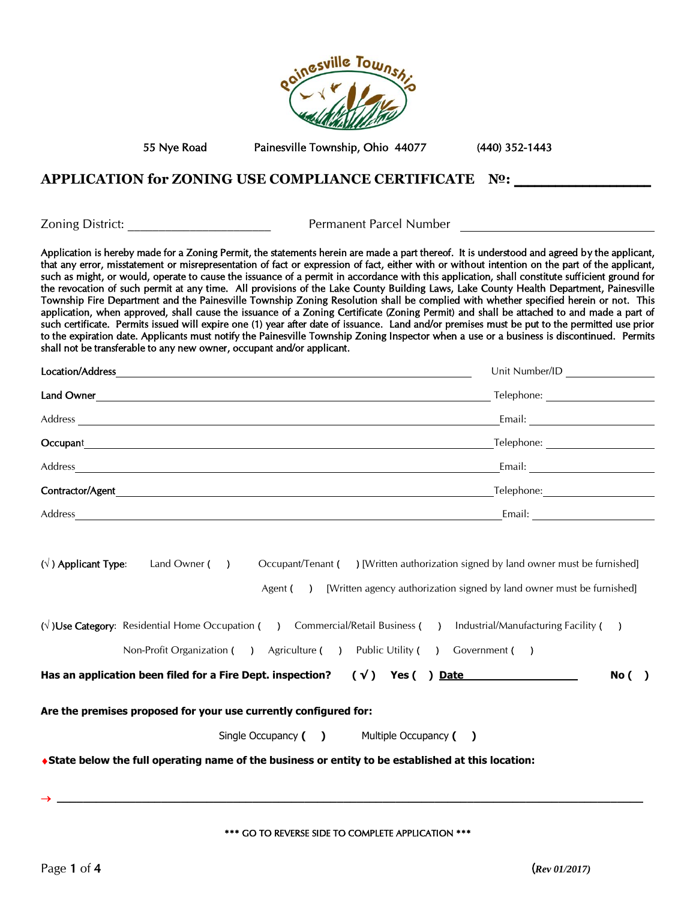

55 Nye Road Painesville Township, Ohio 44077 (440) 352-1443

### **APPLICATION for ZONING USE COMPLIANCE CERTIFICATE №:** \_\_\_\_\_\_\_\_\_\_\_\_\_\_\_\_\_\_\_\_

Zoning District: \_\_\_\_\_\_\_\_\_\_\_\_\_\_\_\_\_\_\_\_\_\_\_ Permanent Parcel Number

Application is hereby made for a Zoning Permit, the statements herein are made a part thereof. It is understood and agreed by the applicant, that any error, misstatement or misrepresentation of fact or expression of fact, either with or without intention on the part of the applicant, such as might, or would, operate to cause the issuance of a permit in accordance with this application, shall constitute sufficient ground for the revocation of such permit at any time. All provisions of the Lake County Building Laws, Lake County Health Department, Painesville Township Fire Department and the Painesville Township Zoning Resolution shall be complied with whether specified herein or not. This application, when approved, shall cause the issuance of a Zoning Certificate (Zoning Permit) and shall be attached to and made a part of such certificate. Permits issued will expire one (1) year after date of issuance. Land and/or premises must be put to the permitted use prior to the expiration date. Applicants must notify the Painesville Township Zoning Inspector when a use or a business is discontinued. Permits shall not be transferable to any new owner, occupant and/or applicant.

| Location/Address | Unit Number/ID |
|------------------|----------------|
| Land Owner       | Telephone:     |
| Address          | Email:         |
| Occupant         | Telephone:     |
| Address          | Email:         |
| Contractor/Agent | Telephone:     |
| Address          | Email:         |

| $(\vee)$ Applicant Type: | Land Owner ( | Occupant/Tenant ( | ) [Written authorization signed by land owner must be furnished]      |
|--------------------------|--------------|-------------------|-----------------------------------------------------------------------|
|                          |              | Agent (           | [Written agency authorization signed by land owner must be furnished] |

| Has an application been filed for a Fire Dept. inspection?<br>( √ )<br>Yes (<br>Date |                                                         |  |               |  |                              | No (                                |  |  |
|--------------------------------------------------------------------------------------|---------------------------------------------------------|--|---------------|--|------------------------------|-------------------------------------|--|--|
|                                                                                      | Non-Profit Organization (                               |  | Agriculture ( |  | Public Utility (             | Government (                        |  |  |
|                                                                                      | $(\sqrt{})$ Use Category: Residential Home Occupation ( |  |               |  | Commercial/Retail Business ( | Industrial/Manufacturing Facility ( |  |  |

**Are the premises proposed for your use currently configured for:**

Single Occupancy **( )** Multiple Occupancy **( )**

**State below the full operating name of the business or entity to be established at this location:**

\*\*\* GO TO REVERSE SIDE TO COMPLETE APPLICATION \*\*\*

**\_\_\_\_\_\_\_\_\_\_\_\_\_\_\_\_\_\_\_\_\_\_\_\_\_\_\_\_\_\_\_\_\_\_\_\_\_\_\_\_\_\_\_\_\_\_\_\_\_\_\_\_\_\_\_\_\_\_\_\_\_\_\_\_\_\_\_\_\_\_\_\_\_\_\_\_\_\_\_\_\_\_\_\_\_\_\_\_\_\_**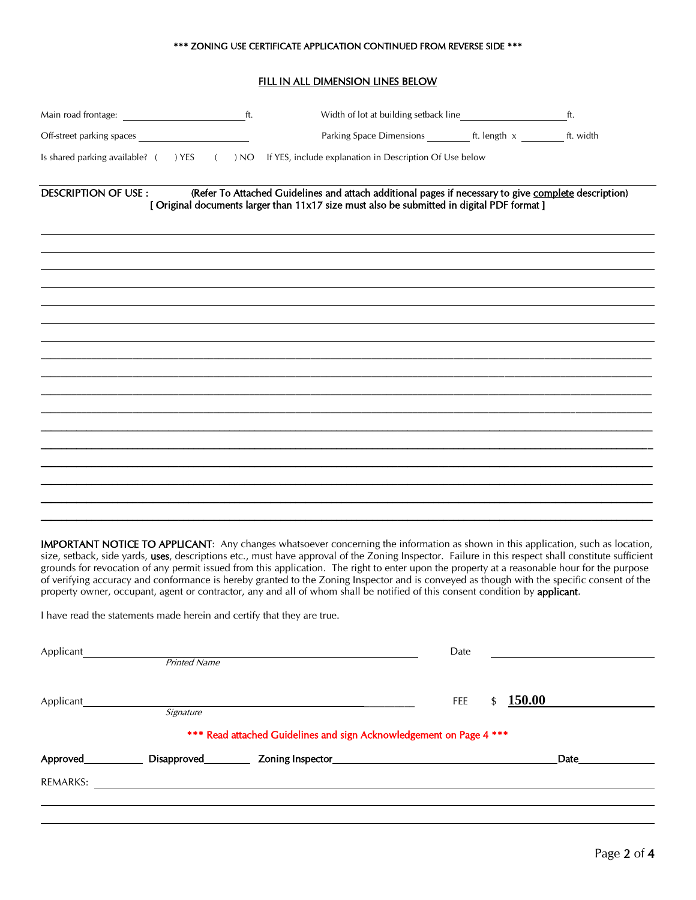#### \*\*\* ZONING USE CERTIFICATE APPLICATION CONTINUED FROM REVERSE SIDE \*\*\*

#### FILL IN ALL DIMENSION LINES BELOW

|                            |                                                                                                                                                                                                    | ft. |
|----------------------------|----------------------------------------------------------------------------------------------------------------------------------------------------------------------------------------------------|-----|
| Off-street parking spaces  |                                                                                                                                                                                                    |     |
|                            | Is shared parking available? () YES () NO If YES, include explanation in Description Of Use below                                                                                                  |     |
| <b>DESCRIPTION OF USE:</b> | (Refer To Attached Guidelines and attach additional pages if necessary to give complete description)<br>[ Original documents larger than 11x17 size must also be submitted in digital PDF format ] |     |
|                            |                                                                                                                                                                                                    |     |
|                            |                                                                                                                                                                                                    |     |
|                            |                                                                                                                                                                                                    |     |
|                            |                                                                                                                                                                                                    |     |
|                            |                                                                                                                                                                                                    |     |
|                            |                                                                                                                                                                                                    |     |
|                            |                                                                                                                                                                                                    |     |
|                            |                                                                                                                                                                                                    |     |
|                            |                                                                                                                                                                                                    |     |
|                            |                                                                                                                                                                                                    |     |
|                            |                                                                                                                                                                                                    |     |
|                            |                                                                                                                                                                                                    |     |
|                            |                                                                                                                                                                                                    |     |
|                            |                                                                                                                                                                                                    |     |

IMPORTANT NOTICE TO APPLICANT: Any changes whatsoever concerning the information as shown in this application, such as location, size, setback, side yards, uses, descriptions etc., must have approval of the Zoning Inspector. Failure in this respect shall constitute sufficient grounds for revocation of any permit issued from this application. The right to enter upon the property at a reasonable hour for the purpose of verifying accuracy and conformance is hereby granted to the Zoning Inspector and is conveyed as though with the specific consent of the property owner, occupant, agent or contractor, any and all of whom shall be notified of this consent condition by applicant.

I have read the statements made herein and certify that they are true.

| Applicant | <b>Printed Name</b>  |                                                                     | Date                       |      |
|-----------|----------------------|---------------------------------------------------------------------|----------------------------|------|
| Applicant |                      |                                                                     | <b>150.00</b><br>FEE<br>\$ |      |
|           | Signature            |                                                                     |                            |      |
|           |                      | *** Read attached Guidelines and sign Acknowledgement on Page 4 *** |                            |      |
| Approved  | Disapproved_________ |                                                                     |                            | Date |
| REMARKS:  |                      |                                                                     |                            |      |
|           |                      |                                                                     |                            |      |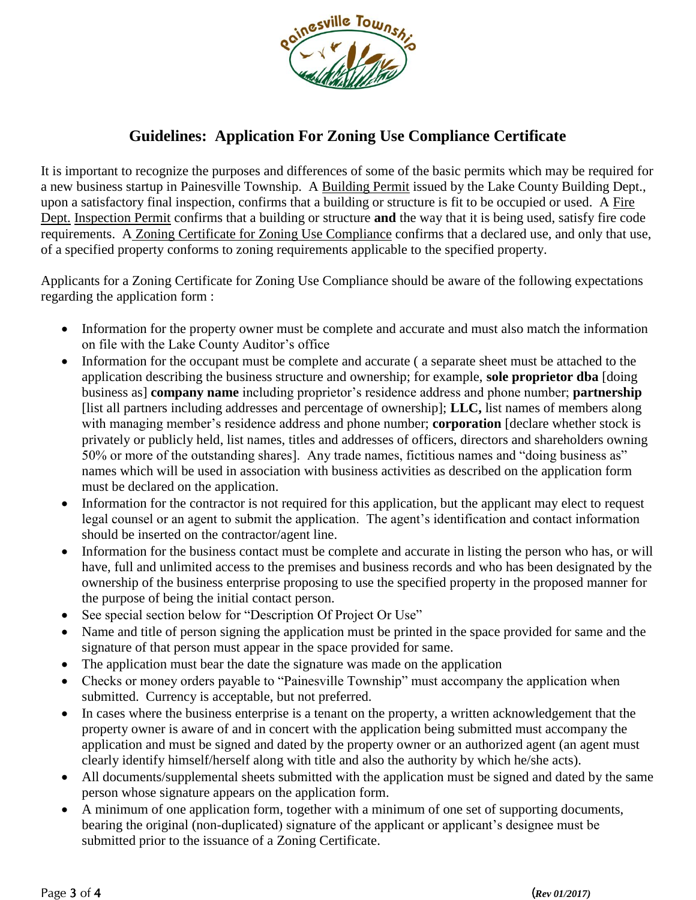

# **Guidelines: Application For Zoning Use Compliance Certificate**

It is important to recognize the purposes and differences of some of the basic permits which may be required for a new business startup in Painesville Township. A Building Permit issued by the Lake County Building Dept., upon a satisfactory final inspection, confirms that a building or structure is fit to be occupied or used. A Fire Dept. Inspection Permit confirms that a building or structure **and** the way that it is being used, satisfy fire code requirements. A Zoning Certificate for Zoning Use Compliance confirms that a declared use, and only that use, of a specified property conforms to zoning requirements applicable to the specified property.

Applicants for a Zoning Certificate for Zoning Use Compliance should be aware of the following expectations regarding the application form :

- Information for the property owner must be complete and accurate and must also match the information on file with the Lake County Auditor's office
- Information for the occupant must be complete and accurate ( a separate sheet must be attached to the application describing the business structure and ownership; for example, **sole proprietor dba** [doing business as] **company name** including proprietor's residence address and phone number; **partnership** [list all partners including addresses and percentage of ownership]; **LLC,** list names of members along with managing member's residence address and phone number; **corporation** [declare whether stock is privately or publicly held, list names, titles and addresses of officers, directors and shareholders owning 50% or more of the outstanding shares]. Any trade names, fictitious names and "doing business as" names which will be used in association with business activities as described on the application form must be declared on the application.
- Information for the contractor is not required for this application, but the applicant may elect to request legal counsel or an agent to submit the application. The agent's identification and contact information should be inserted on the contractor/agent line.
- Information for the business contact must be complete and accurate in listing the person who has, or will have, full and unlimited access to the premises and business records and who has been designated by the ownership of the business enterprise proposing to use the specified property in the proposed manner for the purpose of being the initial contact person.
- See special section below for "Description Of Project Or Use"
- Name and title of person signing the application must be printed in the space provided for same and the signature of that person must appear in the space provided for same.
- The application must bear the date the signature was made on the application
- Checks or money orders payable to "Painesville Township" must accompany the application when submitted. Currency is acceptable, but not preferred.
- In cases where the business enterprise is a tenant on the property, a written acknowledgement that the property owner is aware of and in concert with the application being submitted must accompany the application and must be signed and dated by the property owner or an authorized agent (an agent must clearly identify himself/herself along with title and also the authority by which he/she acts).
- All documents/supplemental sheets submitted with the application must be signed and dated by the same person whose signature appears on the application form.
- A minimum of one application form, together with a minimum of one set of supporting documents, bearing the original (non-duplicated) signature of the applicant or applicant's designee must be submitted prior to the issuance of a Zoning Certificate.